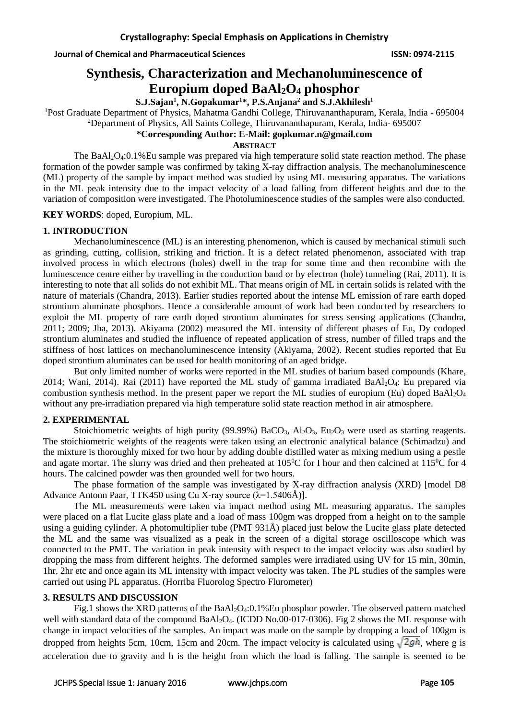**Journal of Chemical and Pharmaceutical Sciences ISSN: 0974-2115**

# **Synthesis, Characterization and Mechanoluminescence of Europium doped BaAl2O<sup>4</sup> phosphor**

**S.J.Sajan<sup>1</sup> , N.Gopakumar<sup>1</sup>\*, P.S.Anjana<sup>2</sup> and S.J.Akhilesh<sup>1</sup>**

<sup>1</sup>Post Graduate Department of Physics, Mahatma Gandhi College, Thiruvananthapuram, Kerala, India - 695004

<sup>2</sup>Department of Physics, All Saints College, Thiruvananthapuram, Kerala, India- 695007

# **\*Corresponding Author: E-Mail: gopkumar.n@gmail.com**

**ABSTRACT**

The BaAl2O4:0.1%Eu sample was prepared via high temperature solid state reaction method. The phase formation of the powder sample was confirmed by taking X-ray diffraction analysis. The mechanoluminescence (ML) property of the sample by impact method was studied by using ML measuring apparatus. The variations in the ML peak intensity due to the impact velocity of a load falling from different heights and due to the variation of composition were investigated. The Photoluminescence studies of the samples were also conducted.

**KEY WORDS**: doped, Europium, ML.

## **1. INTRODUCTION**

Mechanoluminescence (ML) is an interesting phenomenon, which is caused by mechanical stimuli such as grinding, cutting, collision, striking and friction. It is a defect related phenomenon, associated with trap involved process in which electrons (holes) dwell in the trap for some time and then recombine with the luminescence centre either by travelling in the conduction band or by electron (hole) tunneling (Rai, 2011). It is interesting to note that all solids do not exhibit ML. That means origin of ML in certain solids is related with the nature of materials (Chandra, 2013). Earlier studies reported about the intense ML emission of rare earth doped strontium aluminate phosphors. Hence a considerable amount of work had been conducted by researchers to exploit the ML property of rare earth doped strontium aluminates for stress sensing applications (Chandra, 2011; 2009; Jha, 2013). Akiyama (2002) measured the ML intensity of different phases of Eu, Dy codoped strontium aluminates and studied the influence of repeated application of stress, number of filled traps and the stiffness of host lattices on mechanoluminescence intensity (Akiyama, 2002). Recent studies reported that Eu doped strontium aluminates can be used for health monitoring of an aged bridge.

But only limited number of works were reported in the ML studies of barium based compounds (Khare, 2014; Wani, 2014). Rai (2011) have reported the ML study of gamma irradiated BaAl2O4: Eu prepared via combustion synthesis method. In the present paper we report the ML studies of europium (Eu) doped  $BaAl<sub>2</sub>O<sub>4</sub>$ without any pre-irradiation prepared via high temperature solid state reaction method in air atmosphere.

# **2. EXPERIMENTAL**

Stoichiometric weights of high purity (99.99%) BaCO<sub>3</sub>, Al<sub>2</sub>O<sub>3</sub>, Eu<sub>2</sub>O<sub>3</sub> were used as starting reagents. The stoichiometric weights of the reagents were taken using an electronic analytical balance (Schimadzu) and the mixture is thoroughly mixed for two hour by adding double distilled water as mixing medium using a pestle and agate mortar. The slurry was dried and then preheated at  $105\textdegree C$  for I hour and then calcined at  $115\textdegree C$  for 4 hours. The calcined powder was then grounded well for two hours.

The phase formation of the sample was investigated by X-ray diffraction analysis (XRD) [model D8 Advance Antonn Paar, TTK450 using Cu X-ray source  $(\lambda = 1.5406\text{\AA})$ .

The ML measurements were taken via impact method using ML measuring apparatus. The samples were placed on a flat Lucite glass plate and a load of mass 100gm was dropped from a height on to the sample using a guiding cylinder. A photomultiplier tube (PMT 931Å) placed just below the Lucite glass plate detected the ML and the same was visualized as a peak in the screen of a digital storage oscilloscope which was connected to the PMT. The variation in peak intensity with respect to the impact velocity was also studied by dropping the mass from different heights. The deformed samples were irradiated using UV for 15 min, 30min, 1hr, 2hr etc and once again its ML intensity with impact velocity was taken. The PL studies of the samples were carried out using PL apparatus. (Horriba Fluorolog Spectro Flurometer)

### **3. RESULTS AND DISCUSSION**

Fig.1 shows the XRD patterns of the BaAl<sub>2</sub>O<sub>4</sub>:0.1%Eu phosphor powder. The observed pattern matched well with standard data of the compound BaAl<sub>2</sub>O<sub>4</sub>. (ICDD No.00-017-0306). Fig 2 shows the ML response with change in impact velocities of the samples. An impact was made on the sample by dropping a load of 100gm is dropped from heights 5cm, 10cm, 15cm and 20cm. The impact velocity is calculated using  $\sqrt{2gh}$ , where g is acceleration due to gravity and h is the height from which the load is falling. The sample is seemed to be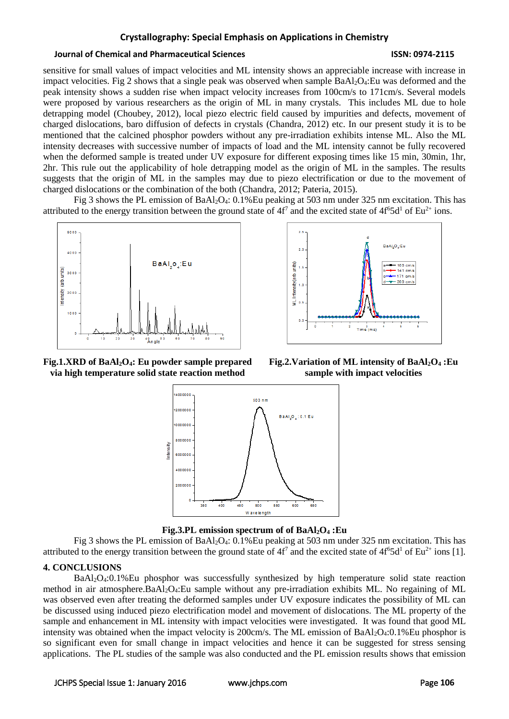#### **Journal of Chemical and Pharmaceutical Sciences ISSN: 0974-2115**

sensitive for small values of impact velocities and ML intensity shows an appreciable increase with increase in impact velocities. Fig 2 shows that a single peak was observed when sample  $BaAl<sub>2</sub>O<sub>4</sub>$ : Eu was deformed and the peak intensity shows a sudden rise when impact velocity increases from 100cm/s to 171cm/s. Several models were proposed by various researchers as the origin of ML in many crystals. This includes ML due to hole detrapping model (Choubey, 2012), local piezo electric field caused by impurities and defects, movement of charged dislocations, baro diffusion of defects in crystals (Chandra, 2012) etc. In our present study it is to be mentioned that the calcined phosphor powders without any pre-irradiation exhibits intense ML. Also the ML intensity decreases with successive number of impacts of load and the ML intensity cannot be fully recovered when the deformed sample is treated under UV exposure for different exposing times like 15 min, 30min, 1hr, 2hr. This rule out the applicability of hole detrapping model as the origin of ML in the samples. The results suggests that the origin of ML in the samples may due to piezo electrification or due to the movement of charged dislocations or the combination of the both (Chandra, 2012; Pateria, 2015).

Fig 3 shows the PL emission of BaAl2O4: 0.1%Eu peaking at 503 nm under 325 nm excitation. This has attributed to the energy transition between the ground state of  $4f^7$  and the excited state of  $4f^65d^1$  of Eu<sup>2+</sup> ions.





**Fig.1.XRD of BaAl2O4: Eu powder sample prepared via high temperature solid state reaction method**

**Fig.2.Variation of ML intensity of BaAl2O<sup>4</sup> :Eu sample with impact velocities**





Fig 3 shows the PL emission of BaAl2O4: 0.1%Eu peaking at 503 nm under 325 nm excitation. This has attributed to the energy transition between the ground state of  $4f^7$  and the excited state of  $4f^65d^1$  of Eu<sup>2+</sup> ions [1].

# **4. CONCLUSIONS**

BaAl2O4:0.1%Eu phosphor was successfully synthesized by high temperature solid state reaction method in air atmosphere.BaAl2O4:Eu sample without any pre-irradiation exhibits ML. No regaining of ML was observed even after treating the deformed samples under UV exposure indicates the possibility of ML can be discussed using induced piezo electrification model and movement of dislocations. The ML property of the sample and enhancement in ML intensity with impact velocities were investigated. It was found that good ML intensity was obtained when the impact velocity is  $200 \text{cm/s}$ . The ML emission of BaAl<sub>2</sub>O<sub>4</sub>:0.1%Eu phosphor is so significant even for small change in impact velocities and hence it can be suggested for stress sensing applications. The PL studies of the sample was also conducted and the PL emission results shows that emission